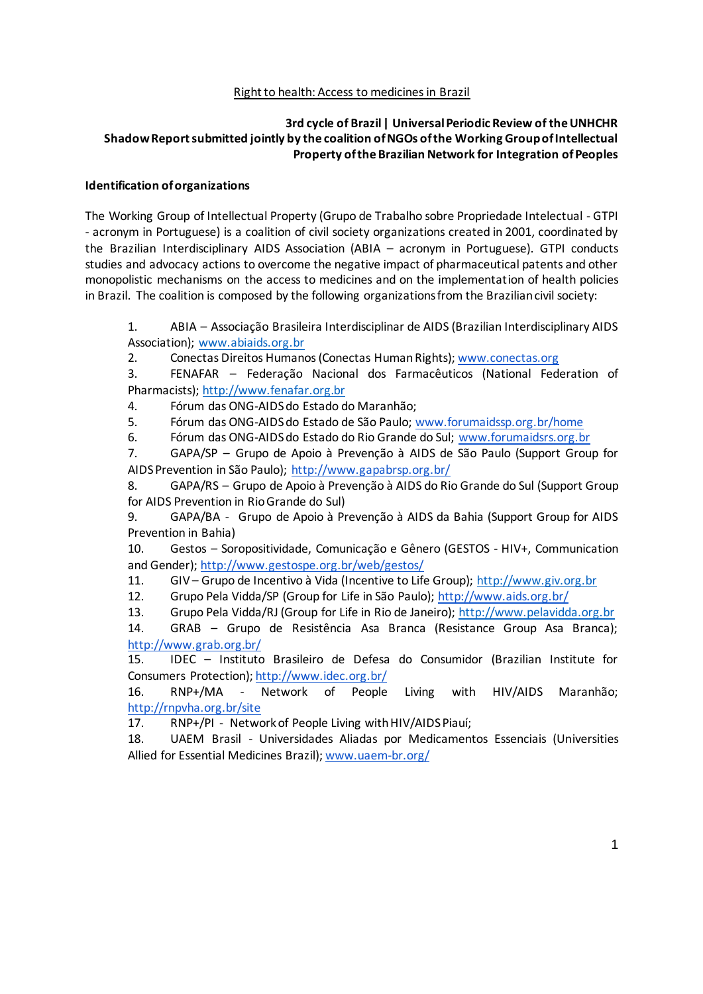## Right to health: Access to medicines in Brazil

## **3rd cycle of Brazil | Universal Periodic Review of the UNHCHR Shadow Report submitted jointly by the coalition of NGOs of the Working Group of Intellectual Property of the Brazilian Network for Integration of Peoples**

#### **Identification of organizations**

The Working Group of Intellectual Property (Grupo de Trabalho sobre Propriedade Intelectual - GTPI - acronym in Portuguese) is a coalition of civil society organizations created in 2001, coordinated by the Brazilian Interdisciplinary AIDS Association (ABIA – acronym in Portuguese). GTPI conducts studies and advocacy actions to overcome the negative impact of pharmaceutical patents and other monopolistic mechanisms on the access to medicines and on the implementation of health policies in Brazil. The coalition is composed by the following organizations from the Brazilian civil society:

1. ABIA – Associação Brasileira Interdisciplinar de AIDS (Brazilian Interdisciplinary AIDS Association); www.abiaids.org.br

2. Conectas Direitos Humanos (Conectas Human Rights); www.conectas.org

3. FENAFAR – Federação Nacional dos Farmacêuticos (National Federation of Pharmacists); http://www.fenafar.org.br

4. Fórum das ONG-AIDS do Estado do Maranhão;

5. Fórum das ONG-AIDS do Estado de São Paulo; www.forumaidssp.org.br/home

6. Fórum das ONG-AIDS do Estado do Rio Grande do Sul; www.forumaidsrs.org.br

7. GAPA/SP – Grupo de Apoio à Prevenção à AIDS de São Paulo (Support Group for AIDS Prevention in São Paulo); http://www.gapabrsp.org.br/

8. GAPA/RS – Grupo de Apoio à Prevenção à AIDS do Rio Grande do Sul (Support Group for AIDS Prevention in Rio Grande do Sul)

9. GAPA/BA - Grupo de Apoio à Prevenção à AIDS da Bahia (Support Group for AIDS Prevention in Bahia)

10. Gestos – Soropositividade, Comunicação e Gênero (GESTOS - HIV+, Communication and Gender); http://www.gestospe.org.br/web/gestos/

11. GIV – Grupo de Incentivo à Vida (Incentive to Life Group); http://www.giv.org.br

12. Grupo Pela Vidda/SP (Group for Life in São Paulo); http://www.aids.org.br/

13. Grupo Pela Vidda/RJ (Group for Life in Rio de Janeiro); http://www.pelavidda.org.br

14. GRAB – Grupo de Resistência Asa Branca (Resistance Group Asa Branca); http://www.grab.org.br/

15. IDEC – Instituto Brasileiro de Defesa do Consumidor (Brazilian Institute for Consumers Protection); http://www.idec.org.br/

16. RNP+/MA - Network of People Living with HIV/AIDS Maranhão; http://rnpvha.org.br/site

17. RNP+/PI - Network of People Living with HIV/AIDS Piauí;

18. UAEM Brasil - Universidades Aliadas por Medicamentos Essenciais (Universities Allied for Essential Medicines Brazil); www.uaem-br.org/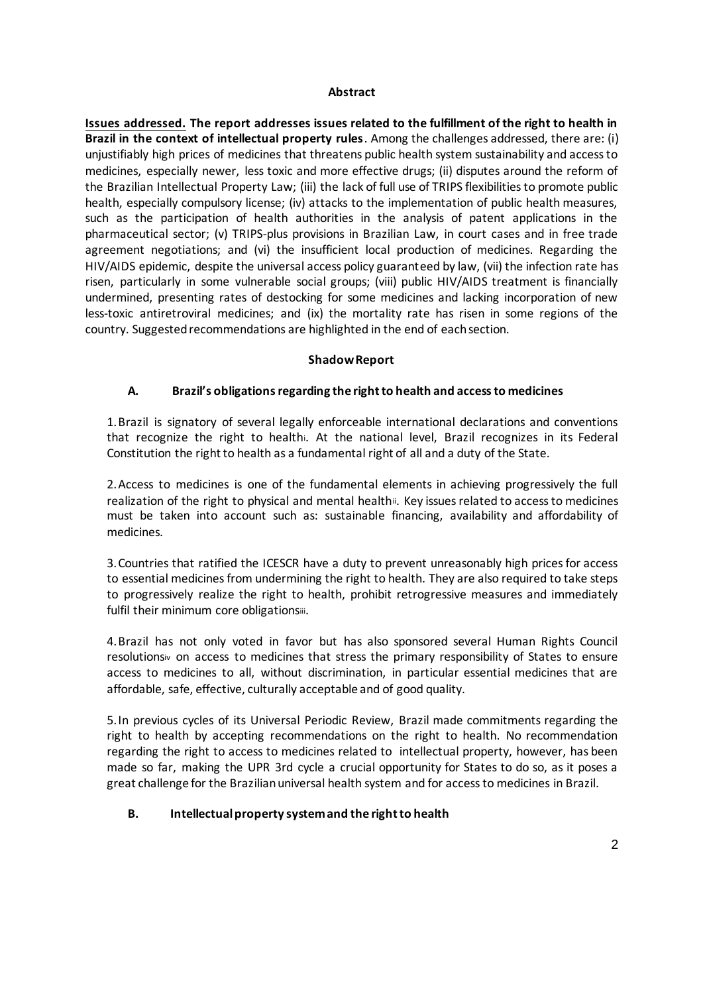#### **Abstract**

**Issues addressed. The report addresses issues related to the fulfillment of the right to health in Brazil in the context of intellectual property rules**. Among the challenges addressed, there are: (i) unjustifiably high prices of medicines that threatens public health system sustainability and access to medicines, especially newer, less toxic and more effective drugs; (ii) disputes around the reform of the Brazilian Intellectual Property Law; (iii) the lack of full use of TRIPS flexibilities to promote public health, especially compulsory license; (iv) attacks to the implementation of public health measures, such as the participation of health authorities in the analysis of patent applications in the pharmaceutical sector; (v) TRIPS-plus provisions in Brazilian Law, in court cases and in free trade agreement negotiations; and (vi) the insufficient local production of medicines. Regarding the HIV/AIDS epidemic, despite the universal access policy guaranteed by law, (vii) the infection rate has risen, particularly in some vulnerable social groups; (viii) public HIV/AIDS treatment is financially undermined, presenting rates of destocking for some medicines and lacking incorporation of new less-toxic antiretroviral medicines; and (ix) the mortality rate has risen in some regions of the country. Suggested recommendations are highlighted in the end of each section.

### **Shadow Report**

## **A. Brazil's obligations regarding the right to health and access to medicines**

1.Brazil is signatory of several legally enforceable international declarations and conventions that recognize the right to healthi. At the national level, Brazil recognizes in its Federal Constitution the right to health as a fundamental right of all and a duty of the State.

2.Access to medicines is one of the fundamental elements in achieving progressively the full realization of the right to physical and mental healthii. Key issues related to access to medicines must be taken into account such as: sustainable financing, availability and affordability of medicines.

3.Countries that ratified the ICESCR have a duty to prevent unreasonably high prices for access to essential medicines from undermining the right to health. They are also required to take steps to progressively realize the right to health, prohibit retrogressive measures and immediately fulfil their minimum core obligationsiii.

4.Brazil has not only voted in favor but has also sponsored several Human Rights Council resolutionsiv on access to medicines that stress the primary responsibility of States to ensure access to medicines to all, without discrimination, in particular essential medicines that are affordable, safe, effective, culturally acceptable and of good quality.

5.In previous cycles of its Universal Periodic Review, Brazil made commitments regarding the right to health by accepting recommendations on the right to health. No recommendation regarding the right to access to medicines related to intellectual property, however, has been made so far, making the UPR 3rd cycle a crucial opportunity for States to do so, as it poses a great challenge for the Brazilian universal health system and for access to medicines in Brazil.

## **B. Intellectual property system and the right to health**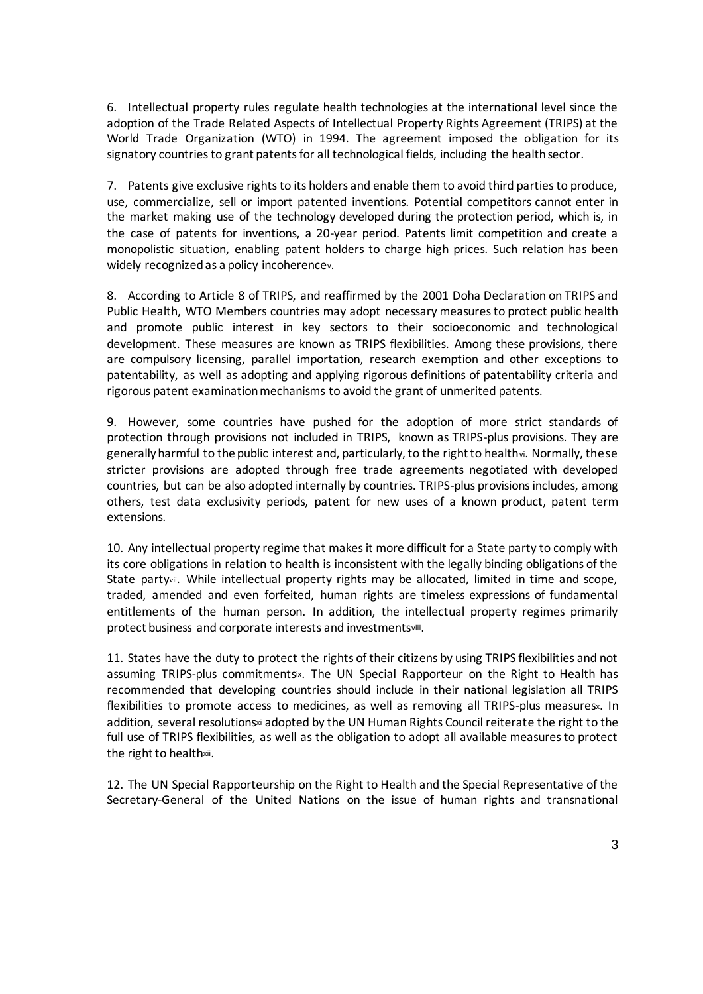6. Intellectual property rules regulate health technologies at the international level since the adoption of the Trade Related Aspects of Intellectual Property Rights Agreement (TRIPS) at the World Trade Organization (WTO) in 1994. The agreement imposed the obligation for its signatory countries to grant patents for all technological fields, including the health sector.

7. Patents give exclusive rights to its holders and enable them to avoid third parties to produce, use, commercialize, sell or import patented inventions. Potential competitors cannot enter in the market making use of the technology developed during the protection period, which is, in the case of patents for inventions, a 20-year period. Patents limit competition and create a monopolistic situation, enabling patent holders to charge high prices. Such relation has been widely recognized as a policy incoherencev.

8. According to Article 8 of TRIPS, and reaffirmed by the 2001 Doha Declaration on TRIPS and Public Health, WTO Members countries may adopt necessary measures to protect public health and promote public interest in key sectors to their socioeconomic and technological development. These measures are known as TRIPS flexibilities. Among these provisions, there are compulsory licensing, parallel importation, research exemption and other exceptions to patentability, as well as adopting and applying rigorous definitions of patentability criteria and rigorous patent examination mechanisms to avoid the grant of unmerited patents.

9. However, some countries have pushed for the adoption of more strict standards of protection through provisions not included in TRIPS, known as TRIPS-plus provisions. They are generally harmful to the public interest and, particularly, to the right to healthvi. Normally, these stricter provisions are adopted through free trade agreements negotiated with developed countries, but can be also adopted internally by countries. TRIPS-plus provisions includes, among others, test data exclusivity periods, patent for new uses of a known product, patent term extensions.

10. Any intellectual property regime that makes it more difficult for a State party to comply with its core obligations in relation to health is inconsistent with the legally binding obligations of the State partyvii. While intellectual property rights may be allocated, limited in time and scope, traded, amended and even forfeited, human rights are timeless expressions of fundamental entitlements of the human person. In addition, the intellectual property regimes primarily protect business and corporate interests and investmentsviii.

11. States have the duty to protect the rights of their citizens by using TRIPS flexibilities and not assuming TRIPS-plus commitmentsix. The UN Special Rapporteur on the Right to Health has recommended that developing countries should include in their national legislation all TRIPS flexibilities to promote access to medicines, as well as removing all TRIPS-plus measures». In addition, several resolutionsxi adopted by the UN Human Rights Council reiterate the right to the full use of TRIPS flexibilities, as well as the obligation to adopt all available measures to protect the right to healthxii.

12. The UN Special Rapporteurship on the Right to Health and the Special Representative of the Secretary-General of the United Nations on the issue of human rights and transnational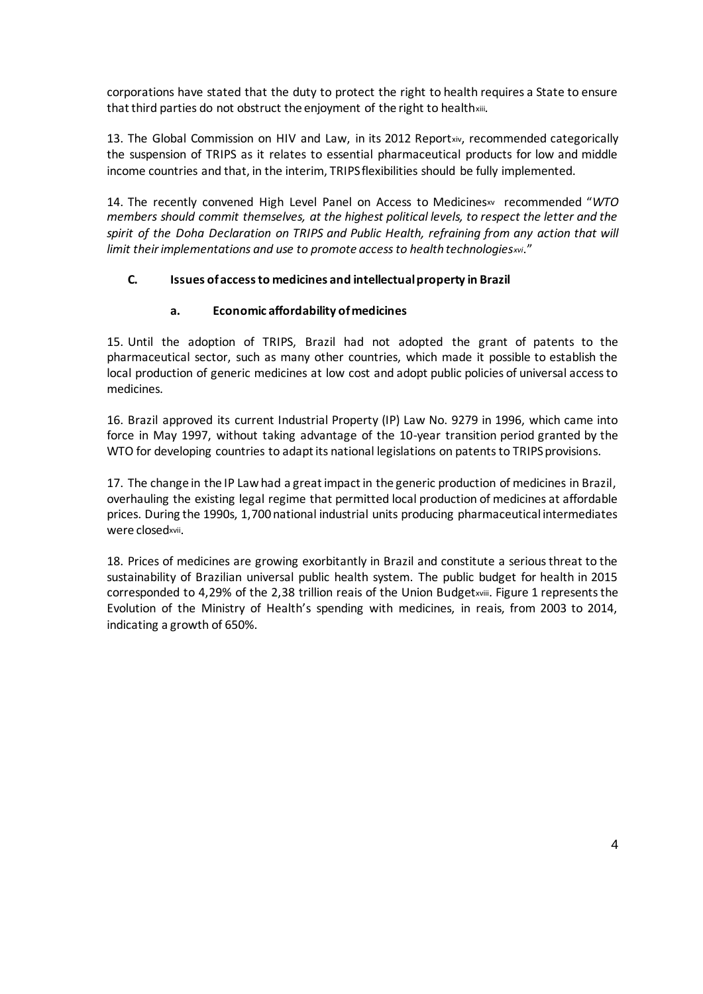corporations have stated that the duty to protect the right to health requires a State to ensure that third parties do not obstruct the enjoyment of the right to healthxiii*.*

13. The Global Commission on HIV and Law, in its 2012 Reportxiv, recommended categorically the suspension of TRIPS as it relates to essential pharmaceutical products for low and middle income countries and that, in the interim, TRIPS flexibilities should be fully implemented.

14. The recently convened High Level Panel on Access to Medicinesxv recommended "*WTO members should commit themselves, at the highest political levels, to respect the letter and the spirit of the Doha Declaration on TRIPS and Public Health, refraining from any action that will limit their implementations and use to promote access to health technologiesxvi*."

## **C. Issues of access to medicines and intellectual property in Brazil**

## **a. Economic affordability of medicines**

15. Until the adoption of TRIPS, Brazil had not adopted the grant of patents to the pharmaceutical sector, such as many other countries, which made it possible to establish the local production of generic medicines at low cost and adopt public policies of universal access to medicines.

16. Brazil approved its current Industrial Property (IP) Law No. 9279 in 1996, which came into force in May 1997, without taking advantage of the 10-year transition period granted by the WTO for developing countries to adapt its national legislations on patents to TRIPS provisions.

17. The change in the IP Law had a great impact in the generic production of medicines in Brazil, overhauling the existing legal regime that permitted local production of medicines at affordable prices. During the 1990s, 1,700 national industrial units producing pharmaceutical intermediates were closedxvii.

18. Prices of medicines are growing exorbitantly in Brazil and constitute a serious threat to the sustainability of Brazilian universal public health system. The public budget for health in 2015 corresponded to 4,29% of the 2,38 trillion reais of the Union Budgetxviii. Figure 1 represents the Evolution of the Ministry of Health's spending with medicines, in reais, from 2003 to 2014, indicating a growth of 650%.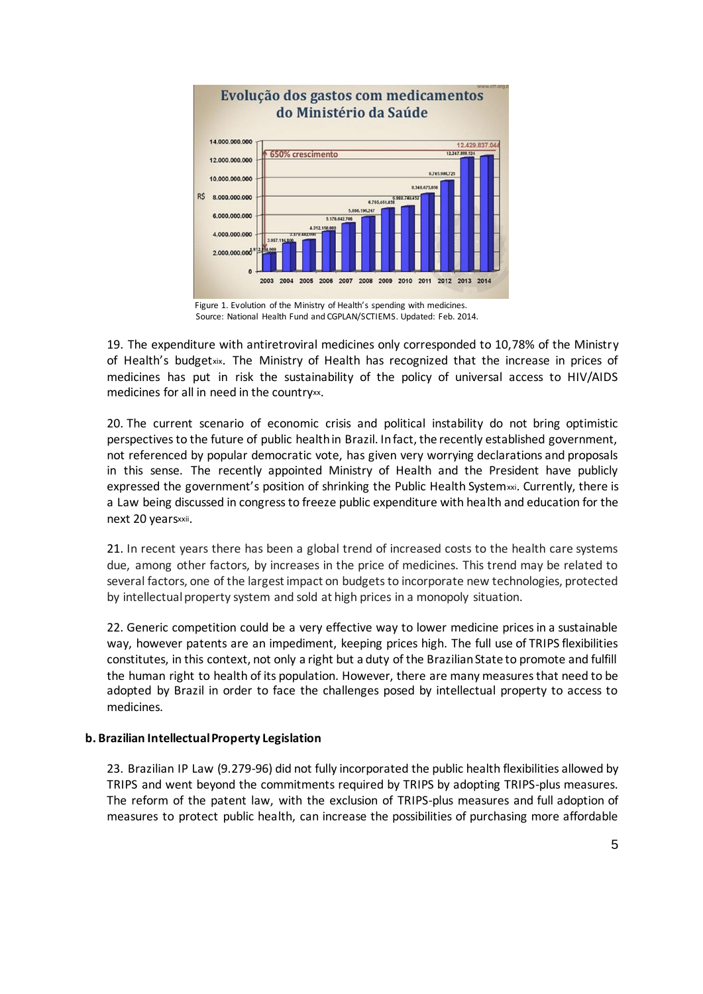

Source: National Health Fund and CGPLAN/SCTIEMS. Updated: Feb. 2014.

19. The expenditure with antiretroviral medicines only corresponded to 10,78% of the Ministry of Health's budgetxix. The Ministry of Health has recognized that the increase in prices of medicines has put in risk the sustainability of the policy of universal access to HIV/AIDS medicines for all in need in the countryxx.

20. The current scenario of economic crisis and political instability do not bring optimistic perspectives to the future of public health in Brazil. In fact, the recently established government, not referenced by popular democratic vote, has given very worrying declarations and proposals in this sense. The recently appointed Ministry of Health and the President have publicly expressed the government's position of shrinking the Public Health System xxi. Currently, there is a Law being discussed in congress to freeze public expenditure with health and education for the next 20 yearsxxii.

21. In recent years there has been a global trend of increased costs to the health care systems due, among other factors, by increases in the price of medicines. This trend may be related to several factors, one of the largest impact on budgets to incorporate new technologies, protected by intellectual property system and sold at high prices in a monopoly situation.

22. Generic competition could be a very effective way to lower medicine prices in a sustainable way, however patents are an impediment, keeping prices high. The full use of TRIPS flexibilities constitutes, in this context, not only a right but a duty of the Brazilian State to promote and fulfill the human right to health of its population. However, there are many measures that need to be adopted by Brazil in order to face the challenges posed by intellectual property to access to medicines.

## **b. Brazilian Intellectual Property Legislation**

23. Brazilian IP Law (9.279-96) did not fully incorporated the public health flexibilities allowed by TRIPS and went beyond the commitments required by TRIPS by adopting TRIPS-plus measures. The reform of the patent law, with the exclusion of TRIPS-plus measures and full adoption of measures to protect public health, can increase the possibilities of purchasing more affordable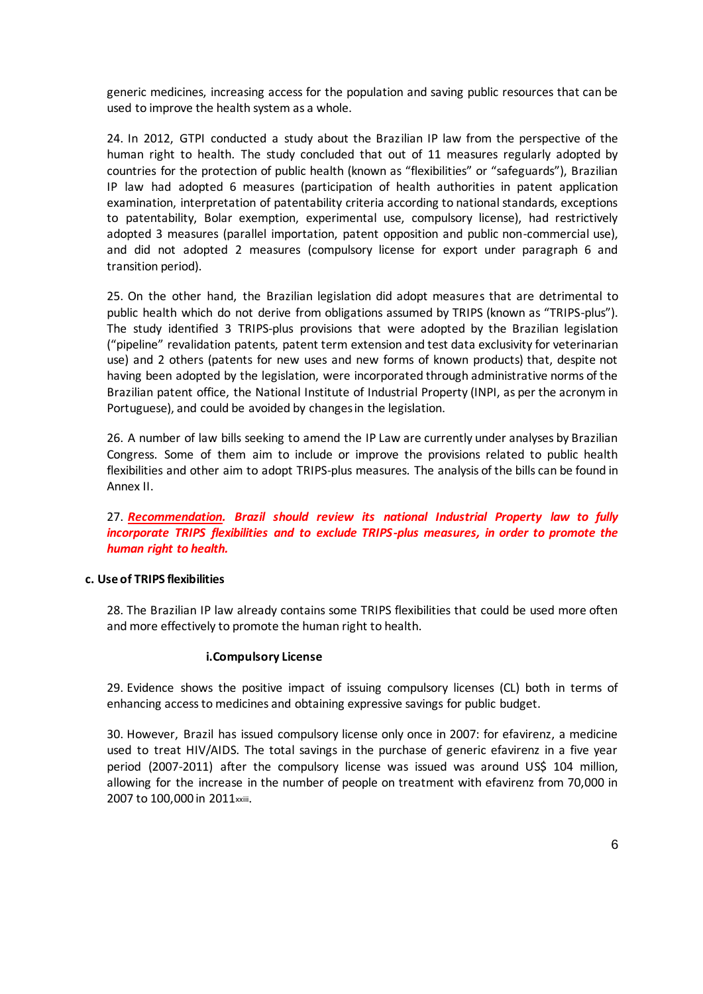generic medicines, increasing access for the population and saving public resources that can be used to improve the health system as a whole.

24. In 2012, GTPI conducted a study about the Brazilian IP law from the perspective of the human right to health. The study concluded that out of 11 measures regularly adopted by countries for the protection of public health (known as "flexibilities" or "safeguards"), Brazilian IP law had adopted 6 measures (participation of health authorities in patent application examination, interpretation of patentability criteria according to national standards, exceptions to patentability, Bolar exemption, experimental use, compulsory license), had restrictively adopted 3 measures (parallel importation, patent opposition and public non-commercial use), and did not adopted 2 measures (compulsory license for export under paragraph 6 and transition period).

25. On the other hand, the Brazilian legislation did adopt measures that are detrimental to public health which do not derive from obligations assumed by TRIPS (known as "TRIPS-plus"). The study identified 3 TRIPS-plus provisions that were adopted by the Brazilian legislation ("pipeline" revalidation patents, patent term extension and test data exclusivity for veterinarian use) and 2 others (patents for new uses and new forms of known products) that, despite not having been adopted by the legislation, were incorporated through administrative norms of the Brazilian patent office, the National Institute of Industrial Property (INPI, as per the acronym in Portuguese), and could be avoided by changes in the legislation.

26. A number of law bills seeking to amend the IP Law are currently under analyses by Brazilian Congress. Some of them aim to include or improve the provisions related to public health flexibilities and other aim to adopt TRIPS-plus measures. The analysis of the bills can be found in Annex II.

27. *Recommendation. Brazil should review its national Industrial Property law to fully incorporate TRIPS flexibilities and to exclude TRIPS-plus measures, in order to promote the human right to health.*

#### **c. Use of TRIPS flexibilities**

28. The Brazilian IP law already contains some TRIPS flexibilities that could be used more often and more effectively to promote the human right to health.

#### **i.Compulsory License**

29. Evidence shows the positive impact of issuing compulsory licenses (CL) both in terms of enhancing access to medicines and obtaining expressive savings for public budget.

30. However, Brazil has issued compulsory license only once in 2007: for efavirenz, a medicine used to treat HIV/AIDS. The total savings in the purchase of generic efavirenz in a five year period (2007-2011) after the compulsory license was issued was around US\$ 104 million, allowing for the increase in the number of people on treatment with efavirenz from 70,000 in 2007 to 100,000 in 2011 xxiii.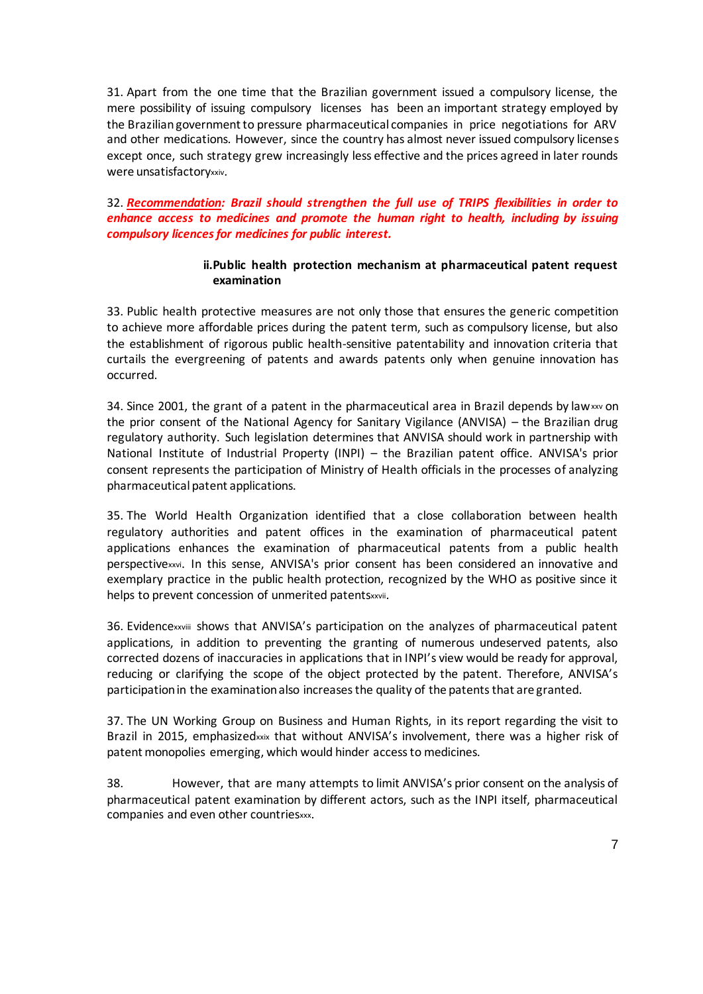31. Apart from the one time that the Brazilian government issued a compulsory license, the mere possibility of issuing compulsory licenses has been an important strategy employed by the Brazilian government to pressure pharmaceutical companies in price negotiations for ARV and other medications. However, since the country has almost never issued compulsory licenses except once, such strategy grew increasingly less effective and the prices agreed in later rounds were unsatisfactoryxxiv.

32. *Recommendation: Brazil should strengthen the full use of TRIPS flexibilities in order to enhance access to medicines and promote the human right to health, including by issuing compulsory licences for medicines for public interest.* 

### **ii.Public health protection mechanism at pharmaceutical patent request examination**

33. Public health protective measures are not only those that ensures the generic competition to achieve more affordable prices during the patent term, such as compulsory license, but also the establishment of rigorous public health-sensitive patentability and innovation criteria that curtails the evergreening of patents and awards patents only when genuine innovation has occurred.

34. Since 2001, the grant of a patent in the pharmaceutical area in Brazil depends by law $xw$  on the prior consent of the National Agency for Sanitary Vigilance (ANVISA) – the Brazilian drug regulatory authority. Such legislation determines that ANVISA should work in partnership with National Institute of Industrial Property (INPI) – the Brazilian patent office. ANVISA's prior consent represents the participation of Ministry of Health officials in the processes of analyzing pharmaceutical patent applications.

35. The World Health Organization identified that a close collaboration between health regulatory authorities and patent offices in the examination of pharmaceutical patent applications enhances the examination of pharmaceutical patents from a public health perspectivexxvi. In this sense, ANVISA's prior consent has been considered an innovative and exemplary practice in the public health protection, recognized by the WHO as positive since it helps to prevent concession of unmerited patentsxxvii.

36. Evidencexxviii shows that ANVISA's participation on the analyzes of pharmaceutical patent applications, in addition to preventing the granting of numerous undeserved patents, also corrected dozens of inaccuracies in applications that in INPI's view would be ready for approval, reducing or clarifying the scope of the object protected by the patent. Therefore, ANVISA's participation in the examination also increases the quality of the patents that are granted.

37. The UN Working Group on Business and Human Rights, in its report regarding the visit to Brazil in 2015, emphasizedxxix that without ANVISA's involvement, there was a higher risk of patent monopolies emerging, which would hinder access to medicines.

38. However, that are many attempts to limit ANVISA's prior consent on the analysis of pharmaceutical patent examination by different actors, such as the INPI itself, pharmaceutical companies and even other countriesxxx.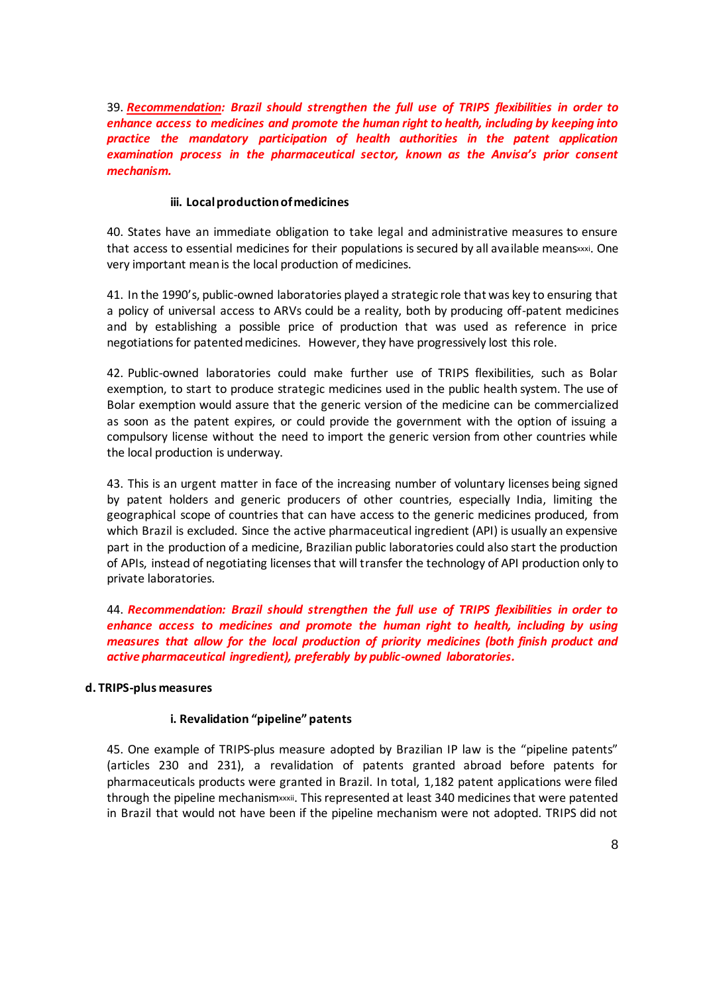39. *Recommendation: Brazil should strengthen the full use of TRIPS flexibilities in order to enhance access to medicines and promote the human right to health, including by keeping into practice the mandatory participation of health authorities in the patent application examination process in the pharmaceutical sector, known as the Anvisa's prior consent mechanism.*

## **iii. Local production of medicines**

40. States have an immediate obligation to take legal and administrative measures to ensure that access to essential medicines for their populations is secured by all available meansxxxi. One very important mean is the local production of medicines.

41. In the 1990's, public-owned laboratories played a strategic role that was key to ensuring that a policy of universal access to ARVs could be a reality, both by producing off-patent medicines and by establishing a possible price of production that was used as reference in price negotiations for patented medicines. However, they have progressively lost this role.

42. Public-owned laboratories could make further use of TRIPS flexibilities, such as Bolar exemption, to start to produce strategic medicines used in the public health system. The use of Bolar exemption would assure that the generic version of the medicine can be commercialized as soon as the patent expires, or could provide the government with the option of issuing a compulsory license without the need to import the generic version from other countries while the local production is underway.

43. This is an urgent matter in face of the increasing number of voluntary licenses being signed by patent holders and generic producers of other countries, especially India, limiting the geographical scope of countries that can have access to the generic medicines produced, from which Brazil is excluded. Since the active pharmaceutical ingredient (API) is usually an expensive part in the production of a medicine, Brazilian public laboratories could also start the production of APIs, instead of negotiating licenses that will transfer the technology of API production only to private laboratories.

44. *Recommendation: Brazil should strengthen the full use of TRIPS flexibilities in order to enhance access to medicines and promote the human right to health, including by using measures that allow for the local production of priority medicines (both finish product and active pharmaceutical ingredient), preferably by public-owned laboratories.*

#### **d. TRIPS-plus measures**

## **i. Revalidation "pipeline" patents**

45. One example of TRIPS-plus measure adopted by Brazilian IP law is the "pipeline patents" (articles 230 and 231), a revalidation of patents granted abroad before patents for pharmaceuticals products were granted in Brazil. In total, 1,182 patent applications were filed through the pipeline mechanismxxxii. This represented at least 340 medicines that were patented in Brazil that would not have been if the pipeline mechanism were not adopted. TRIPS did not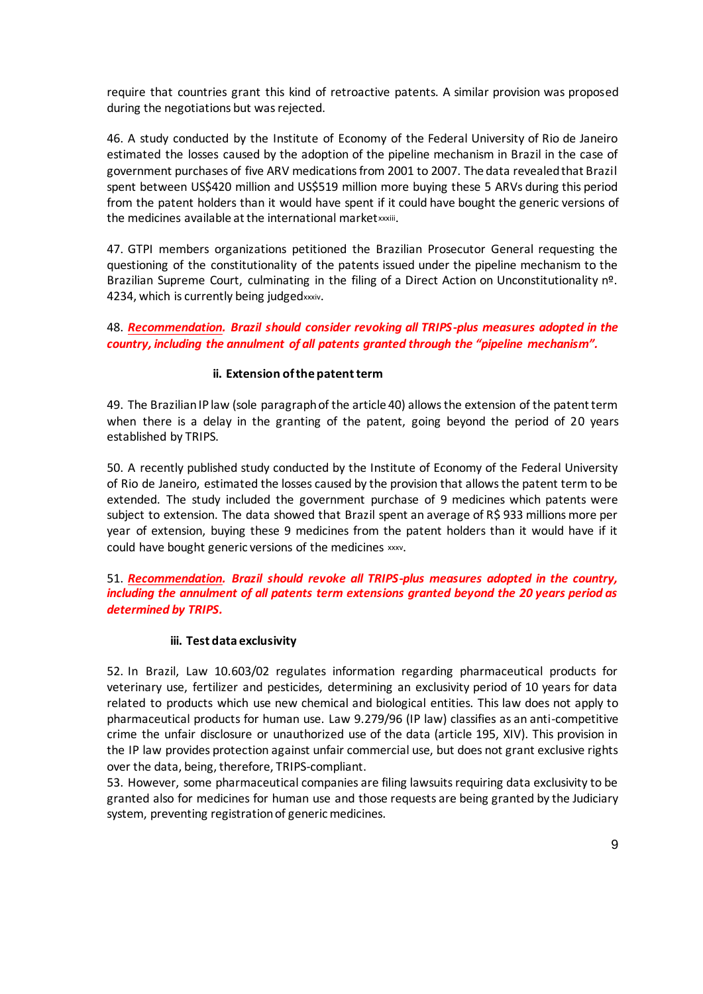require that countries grant this kind of retroactive patents. A similar provision was proposed during the negotiations but was rejected.

46. A study conducted by the Institute of Economy of the Federal University of Rio de Janeiro estimated the losses caused by the adoption of the pipeline mechanism in Brazil in the case of government purchases of five ARV medications from 2001 to 2007. The data revealed that Brazil spent between US\$420 million and US\$519 million more buying these 5 ARVs during this period from the patent holders than it would have spent if it could have bought the generic versions of the medicines available at the international marketxxxiii.

47. GTPI members organizations petitioned the Brazilian Prosecutor General requesting the questioning of the constitutionality of the patents issued under the pipeline mechanism to the Brazilian Supreme Court, culminating in the filing of a Direct Action on Unconstitutionality nº. 4234, which is currently being judgedxxxiv.

48. *Recommendation. Brazil should consider revoking all TRIPS-plus measures adopted in the country, including the annulment of all patents granted through the "pipeline mechanism".*

### **ii. Extension of the patent term**

49. The Brazilian IP law (sole paragraph of the article 40) allows the extension of the patent term when there is a delay in the granting of the patent, going beyond the period of 20 years established by TRIPS.

50. A recently published study conducted by the Institute of Economy of the Federal University of Rio de Janeiro, estimated the losses caused by the provision that allows the patent term to be extended. The study included the government purchase of 9 medicines which patents were subject to extension. The data showed that Brazil spent an average of R\$ 933 millions more per year of extension, buying these 9 medicines from the patent holders than it would have if it could have bought generic versions of the medicines xxxv.

## 51. *Recommendation. Brazil should revoke all TRIPS-plus measures adopted in the country, including the annulment of all patents term extensions granted beyond the 20 years period as determined by TRIPS.*

#### **iii. Test data exclusivity**

52. In Brazil, Law 10.603/02 regulates information regarding pharmaceutical products for veterinary use, fertilizer and pesticides, determining an exclusivity period of 10 years for data related to products which use new chemical and biological entities. This law does not apply to pharmaceutical products for human use. Law 9.279/96 (IP law) classifies as an anti-competitive crime the unfair disclosure or unauthorized use of the data (article 195, XIV). This provision in the IP law provides protection against unfair commercial use, but does not grant exclusive rights over the data, being, therefore, TRIPS-compliant.

53. However, some pharmaceutical companies are filing lawsuits requiring data exclusivity to be granted also for medicines for human use and those requests are being granted by the Judiciary system, preventing registration of generic medicines.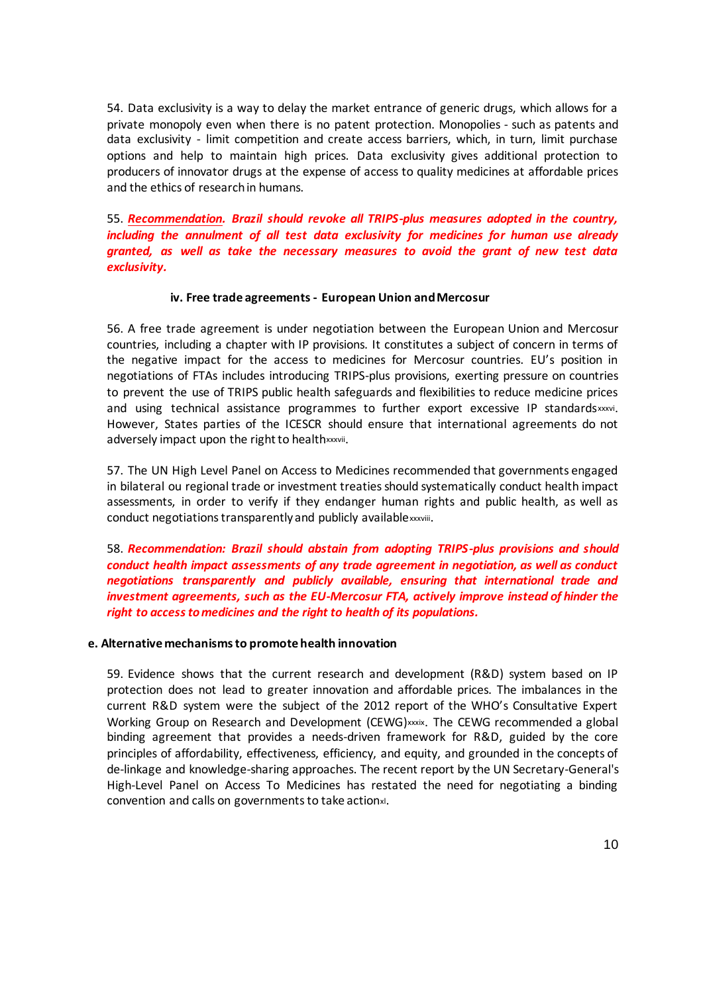54. Data exclusivity is a way to delay the market entrance of generic drugs, which allows for a private monopoly even when there is no patent protection. Monopolies - such as patents and data exclusivity - limit competition and create access barriers, which, in turn, limit purchase options and help to maintain high prices. Data exclusivity gives additional protection to producers of innovator drugs at the expense of access to quality medicines at affordable prices and the ethics of research in humans.

55. *Recommendation. Brazil should revoke all TRIPS-plus measures adopted in the country, including the annulment of all test data exclusivity for medicines for human use already granted, as well as take the necessary measures to avoid the grant of new test data exclusivity.*

#### **iv. Free trade agreements - European Union and Mercosur**

56. A free trade agreement is under negotiation between the European Union and Mercosur countries, including a chapter with IP provisions. It constitutes a subject of concern in terms of the negative impact for the access to medicines for Mercosur countries. EU's position in negotiations of FTAs includes introducing TRIPS-plus provisions, exerting pressure on countries to prevent the use of TRIPS public health safeguards and flexibilities to reduce medicine prices and using technical assistance programmes to further export excessive IP standardsxxxvi. However, States parties of the ICESCR should ensure that international agreements do not adversely impact upon the right to healthxxxvii.

57. The UN High Level Panel on Access to Medicines recommended that governments engaged in bilateral ou regional trade or investment treaties should systematically conduct health impact assessments, in order to verify if they endanger human rights and public health, as well as conduct negotiations transparently and publicly availablexxxviii.

58. *Recommendation: Brazil should abstain from adopting TRIPS-plus provisions and should conduct health impact assessments of any trade agreement in negotiation, as well as conduct negotiations transparently and publicly available, ensuring that international trade and investment agreements, such as the EU-Mercosur FTA, actively improve instead of hinder the right to access to medicines and the right to health of its populations.*

#### **e. Alternative mechanisms to promote health innovation**

59. Evidence shows that the current research and development (R&D) system based on IP protection does not lead to greater innovation and affordable prices. The imbalances in the current R&D system were the subject of the 2012 report of the WHO's Consultative Expert Working Group on Research and Development (CEWG)xxxix. The CEWG recommended a global binding agreement that provides a needs-driven framework for R&D, guided by the core principles of affordability, effectiveness, efficiency, and equity, and grounded in the concepts of de-linkage and knowledge-sharing approaches. The recent report by the UN Secretary-General's High-Level Panel on Access To Medicines has restated the need for negotiating a binding convention and calls on governments to take actionxl.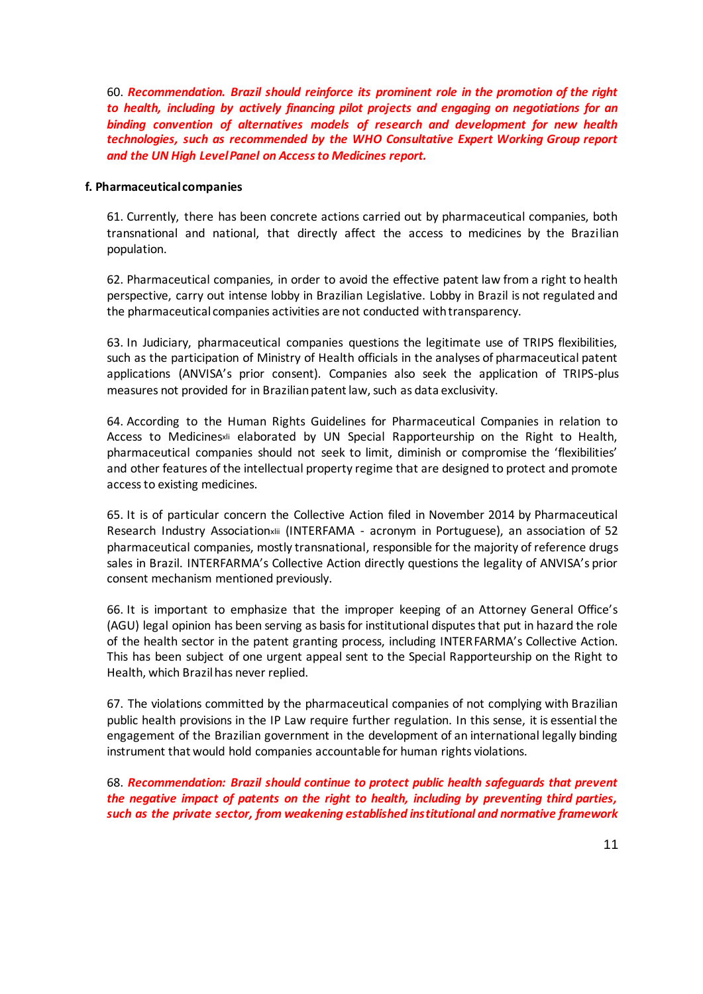60. *Recommendation. Brazil should reinforce its prominent role in the promotion of the right to health, including by actively financing pilot projects and engaging on negotiations for an binding convention of alternatives models of research and development for new health technologies, such as recommended by the WHO Consultative Expert Working Group report and the UN High Level Panel on Access to Medicines report.* 

#### **f. Pharmaceutical companies**

61. Currently, there has been concrete actions carried out by pharmaceutical companies, both transnational and national, that directly affect the access to medicines by the Brazilian population.

62. Pharmaceutical companies, in order to avoid the effective patent law from a right to health perspective, carry out intense lobby in Brazilian Legislative. Lobby in Brazil is not regulated and the pharmaceutical companies activities are not conducted with transparency.

63. In Judiciary, pharmaceutical companies questions the legitimate use of TRIPS flexibilities, such as the participation of Ministry of Health officials in the analyses of pharmaceutical patent applications (ANVISA's prior consent). Companies also seek the application of TRIPS-plus measures not provided for in Brazilian patent law, such as data exclusivity.

64. According to the Human Rights Guidelines for Pharmaceutical Companies in relation to Access to Medicinesxli elaborated by UN Special Rapporteurship on the Right to Health, pharmaceutical companies should not seek to limit, diminish or compromise the 'flexibilities' and other features of the intellectual property regime that are designed to protect and promote access to existing medicines.

65. It is of particular concern the Collective Action filed in November 2014 by Pharmaceutical Research Industry Associationxlii (INTERFAMA - acronym in Portuguese), an association of 52 pharmaceutical companies, mostly transnational, responsible for the majority of reference drugs sales in Brazil. INTERFARMA's Collective Action directly questions the legality of ANVISA's prior consent mechanism mentioned previously.

66. It is important to emphasize that the improper keeping of an Attorney General Office's (AGU) legal opinion has been serving as basis for institutional disputes that put in hazard the role of the health sector in the patent granting process, including INTERFARMA's Collective Action. This has been subject of one urgent appeal sent to the Special Rapporteurship on the Right to Health, which Brazil has never replied.

67. The violations committed by the pharmaceutical companies of not complying with Brazilian public health provisions in the IP Law require further regulation. In this sense, it is essential the engagement of the Brazilian government in the development of an international legally binding instrument that would hold companies accountable for human rights violations.

68. *Recommendation: Brazil should continue to protect public health safeguards that prevent the negative impact of patents on the right to health, including by preventing third parties, such as the private sector, from weakening established institutional and normative framework*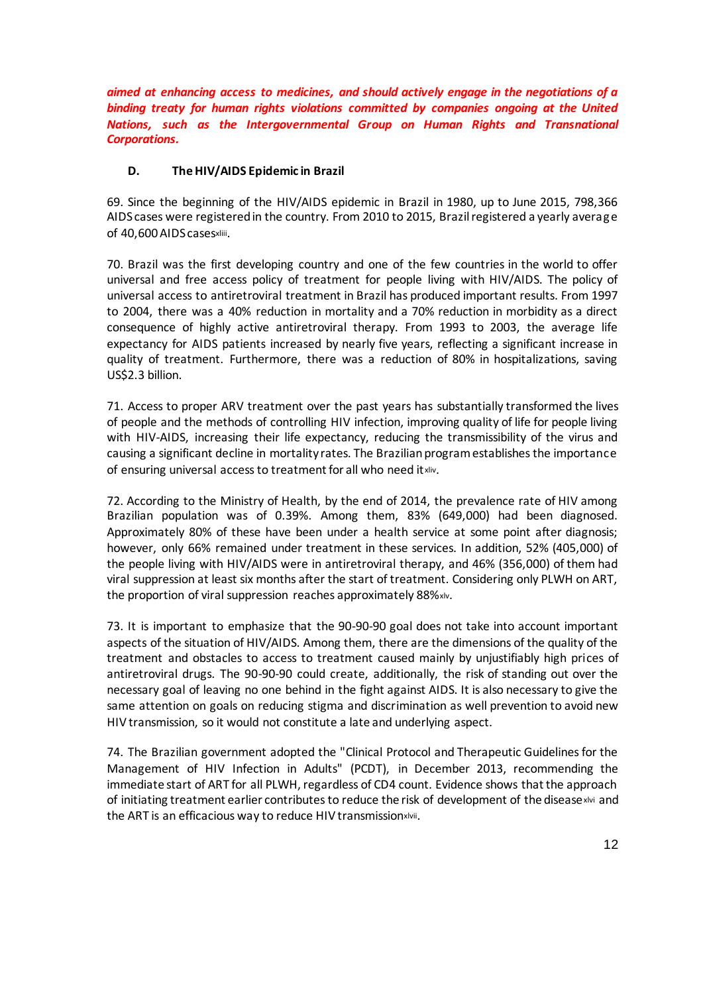*aimed at enhancing access to medicines, and should actively engage in the negotiations of a binding treaty for human rights violations committed by companies ongoing at the United Nations, such as the Intergovernmental Group on Human Rights and Transnational Corporations.* 

## **D. The HIV/AIDS Epidemic in Brazil**

69. Since the beginning of the HIV/AIDS epidemic in Brazil in 1980, up to June 2015, 798,366 AIDS cases were registered in the country. From 2010 to 2015, Brazil registered a yearly average of 40,600 AIDS casesxliii.

70. Brazil was the first developing country and one of the few countries in the world to offer universal and free access policy of treatment for people living with HIV/AIDS. The policy of universal access to antiretroviral treatment in Brazil has produced important results. From 1997 to 2004, there was a 40% reduction in mortality and a 70% reduction in morbidity as a direct consequence of highly active antiretroviral therapy. From 1993 to 2003, the average life expectancy for AIDS patients increased by nearly five years, reflecting a significant increase in quality of treatment. Furthermore, there was a reduction of 80% in hospitalizations, saving US\$2.3 billion.

71. Access to proper ARV treatment over the past years has substantially transformed the lives of people and the methods of controlling HIV infection, improving quality of life for people living with HIV-AIDS, increasing their life expectancy, reducing the transmissibility of the virus and causing a significant decline in mortality rates. The Brazilian program establishes the importance of ensuring universal access to treatment for all who need it xliv.

72. According to the Ministry of Health, by the end of 2014, the prevalence rate of HIV among Brazilian population was of 0.39%. Among them, 83% (649,000) had been diagnosed. Approximately 80% of these have been under a health service at some point after diagnosis; however, only 66% remained under treatment in these services. In addition, 52% (405,000) of the people living with HIV/AIDS were in antiretroviral therapy, and 46% (356,000) of them had viral suppression at least six months after the start of treatment. Considering only PLWH on ART, the proportion of viral suppression reaches approximately 88%xlv.

73. It is important to emphasize that the 90-90-90 goal does not take into account important aspects of the situation of HIV/AIDS. Among them, there are the dimensions of the quality of the treatment and obstacles to access to treatment caused mainly by unjustifiably high prices of antiretroviral drugs. The 90-90-90 could create, additionally, the risk of standing out over the necessary goal of leaving no one behind in the fight against AIDS. It is also necessary to give the same attention on goals on reducing stigma and discrimination as well prevention to avoid new HIV transmission, so it would not constitute a late and underlying aspect.

74. The Brazilian government adopted the "Clinical Protocol and Therapeutic Guidelines for the Management of HIV Infection in Adults" (PCDT), in December 2013, recommending the immediate start of ART for all PLWH, regardless of CD4 count. Evidence shows that the approach of initiating treatment earlier contributes to reduce the risk of development of the diseasexivi and the ART is an efficacious way to reduce HIV transmissionxlvii.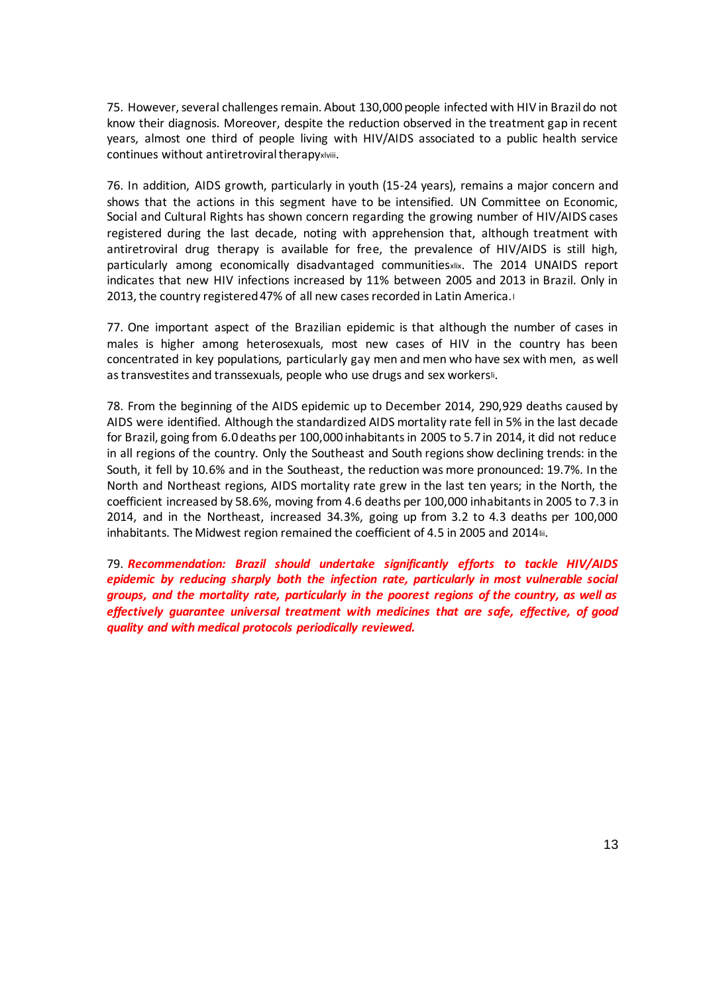75. However, several challenges remain. About 130,000 people infected with HIV in Brazil do not know their diagnosis. Moreover, despite the reduction observed in the treatment gap in recent years, almost one third of people living with HIV/AIDS associated to a public health service continues without antiretroviral therapyxlviii.

76. In addition, AIDS growth, particularly in youth (15-24 years), remains a major concern and shows that the actions in this segment have to be intensified. UN Committee on Economic, Social and Cultural Rights has shown concern regarding the growing number of HIV/AIDS cases registered during the last decade, noting with apprehension that, although treatment with antiretroviral drug therapy is available for free, the prevalence of HIV/AIDS is still high, particularly among economically disadvantaged communitiesxlix. The 2014 UNAIDS report indicates that new HIV infections increased by 11% between 2005 and 2013 in Brazil. Only in 2013, the country registered 47% of all new cases recorded in Latin America.<sup>l</sup>

77. One important aspect of the Brazilian epidemic is that although the number of cases in males is higher among heterosexuals, most new cases of HIV in the country has been concentrated in key populations, particularly gay men and men who have sex with men, as well as transvestites and transsexuals, people who use drugs and sex workersli.

78. From the beginning of the AIDS epidemic up to December 2014, 290,929 deaths caused by AIDS were identified. Although the standardized AIDS mortality rate fell in 5% in the last decade for Brazil, going from 6.0 deaths per 100,000 inhabitants in 2005 to 5.7 in 2014, it did not reduce in all regions of the country. Only the Southeast and South regions show declining trends: in the South, it fell by 10.6% and in the Southeast, the reduction was more pronounced: 19.7%. In the North and Northeast regions, AIDS mortality rate grew in the last ten years; in the North, the coefficient increased by 58.6%, moving from 4.6 deaths per 100,000 inhabitants in 2005 to 7.3 in 2014, and in the Northeast, increased 34.3%, going up from 3.2 to 4.3 deaths per 100,000 inhabitants. The Midwest region remained the coefficient of 4.5 in 2005 and 2014lii.

79. *Recommendation: Brazil should undertake significantly efforts to tackle HIV/AIDS epidemic by reducing sharply both the infection rate, particularly in most vulnerable social groups, and the mortality rate, particularly in the poorest regions of the country, as well as effectively guarantee universal treatment with medicines that are safe, effective, of good quality and with medical protocols periodically reviewed.*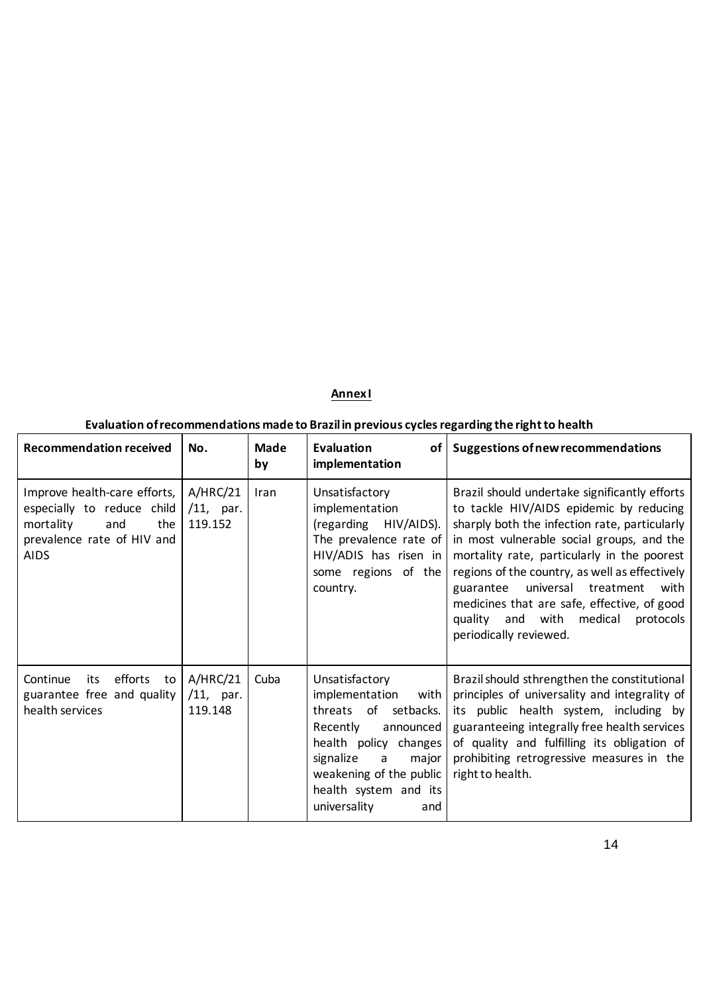## **Annex I**

## **Evaluation of recommendations made to Brazil in previous cycles regarding the right to health**

| <b>Recommendation received</b>                                                                                                     | No.                                 | <b>Made</b><br>by | <b>Evaluation</b><br>implementation                                                                                                                                                                                        | of   Suggestions of new recommendations                                                                                                                                                                                                                                                                                                                                                                                                                  |
|------------------------------------------------------------------------------------------------------------------------------------|-------------------------------------|-------------------|----------------------------------------------------------------------------------------------------------------------------------------------------------------------------------------------------------------------------|----------------------------------------------------------------------------------------------------------------------------------------------------------------------------------------------------------------------------------------------------------------------------------------------------------------------------------------------------------------------------------------------------------------------------------------------------------|
| Improve health-care efforts,<br>especially to reduce child<br>mortality<br>and<br>the<br>prevalence rate of HIV and<br><b>AIDS</b> | A/HRC/21<br>$/11$ , par.<br>119.152 | Iran              | Unsatisfactory<br>implementation<br>HIV/AIDS).<br>(regarding<br>The prevalence rate of<br>$HIV/ADIS$ has risen in<br>some regions of the<br>country.                                                                       | Brazil should undertake significantly efforts<br>to tackle HIV/AIDS epidemic by reducing<br>sharply both the infection rate, particularly<br>in most vulnerable social groups, and the<br>mortality rate, particularly in the poorest<br>regions of the country, as well as effectively<br>universal<br>treatment<br>guarantee<br>with<br>medicines that are safe, effective, of good<br>quality and with medical<br>protocols<br>periodically reviewed. |
| efforts<br>Continue<br>its<br>to<br>guarantee free and quality<br>health services                                                  | A/HRC/21<br>$/11$ , par.<br>119.148 | Cuba              | Unsatisfactory<br>implementation<br>with I<br>threats of setbacks.<br>Recently<br>announced<br>health policy changes<br>signalize<br>major<br>a<br>weakening of the public<br>health system and its<br>universality<br>and | Brazil should sthrengthen the constitutional<br>principles of universality and integrality of<br>its public health system, including by<br>guaranteeing integrally free health services<br>of quality and fulfilling its obligation of<br>prohibiting retrogressive measures in the<br>right to health.                                                                                                                                                  |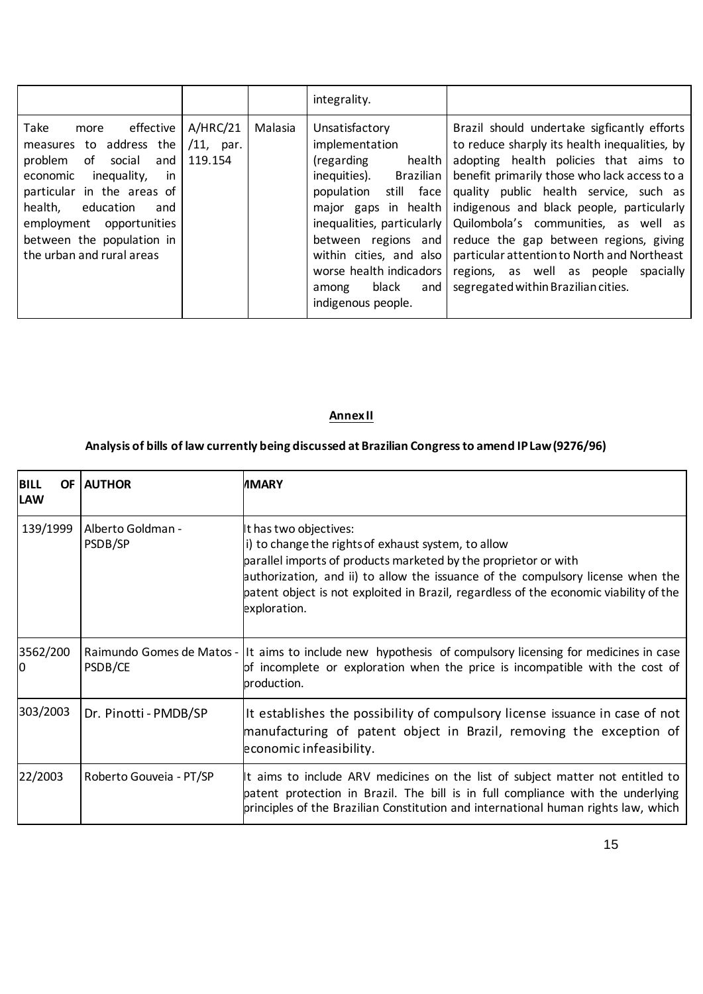|                                                                                                                                                                                                                                                                             |                                     |         | integrality.                                                                                                                                                                         |                                                                                                                                                                                                                                                                                                                                                                                                                                                                                                                                                                                                      |
|-----------------------------------------------------------------------------------------------------------------------------------------------------------------------------------------------------------------------------------------------------------------------------|-------------------------------------|---------|--------------------------------------------------------------------------------------------------------------------------------------------------------------------------------------|------------------------------------------------------------------------------------------------------------------------------------------------------------------------------------------------------------------------------------------------------------------------------------------------------------------------------------------------------------------------------------------------------------------------------------------------------------------------------------------------------------------------------------------------------------------------------------------------------|
| effective<br>Take<br>more<br>measures to address the<br>problem<br>of<br>social<br>and<br>economic<br>inequality,<br>-in<br>particular in the areas of<br>health,<br>education<br>and<br>employment opportunities<br>between the population in<br>the urban and rural areas | A/HRC/21<br>$/11$ , par.<br>119.154 | Malasia | Unsatisfactory<br>implementation<br>(regarding<br>health<br>inequities).<br>Brazilian<br>still face<br>population<br>worse health indicadors<br>black<br>among<br>indigenous people. | Brazil should undertake sigficantly efforts<br>to reduce sharply its health inequalities, by<br>adopting health policies that aims to<br>benefit primarily those who lack access to a<br>quality public health service, such as<br>major gaps in health   indigenous and black people, particularly<br>inequalities, particularly   Quilombola's communities, as well as<br>between regions and reduce the gap between regions, giving<br>within cities, and also   particular attention to North and Northeast<br>regions, as well as people spacially<br>and   segregated within Brazilian cities. |

## **Annex II**

# **Analysis of bills of law currently being discussed at Brazilian Congress to amend IP Law (9276/96)**

| <b>BILL</b><br>OF I<br><b>LAW</b> | <b>AUTHOR</b>                | <b>IMARY</b>                                                                                                                                                                                                                                                                                                                                 |
|-----------------------------------|------------------------------|----------------------------------------------------------------------------------------------------------------------------------------------------------------------------------------------------------------------------------------------------------------------------------------------------------------------------------------------|
| 139/1999                          | Alberto Goldman -<br>PSDB/SP | It has two objectives:<br>i) to change the rights of exhaust system, to allow<br>parallel imports of products marketed by the proprietor or with<br>authorization, and ii) to allow the issuance of the compulsory license when the<br>patent object is not exploited in Brazil, regardless of the economic viability of the<br>exploration. |
| 3562/200<br>Ю                     | PSDB/CE                      | Raimundo Gomes de Matos - It aims to include new hypothesis of compulsory licensing for medicines in case<br>of incomplete or exploration when the price is incompatible with the cost of<br>production.                                                                                                                                     |
| 303/2003                          | Dr. Pinotti - PMDB/SP        | It establishes the possibility of compulsory license issuance in case of not<br>manufacturing of patent object in Brazil, removing the exception of<br>economic infeasibility.                                                                                                                                                               |
| 22/2003                           | Roberto Gouveia - PT/SP      | It aims to include ARV medicines on the list of subject matter not entitled to<br>patent protection in Brazil. The bill is in full compliance with the underlying<br>principles of the Brazilian Constitution and international human rights law, which                                                                                      |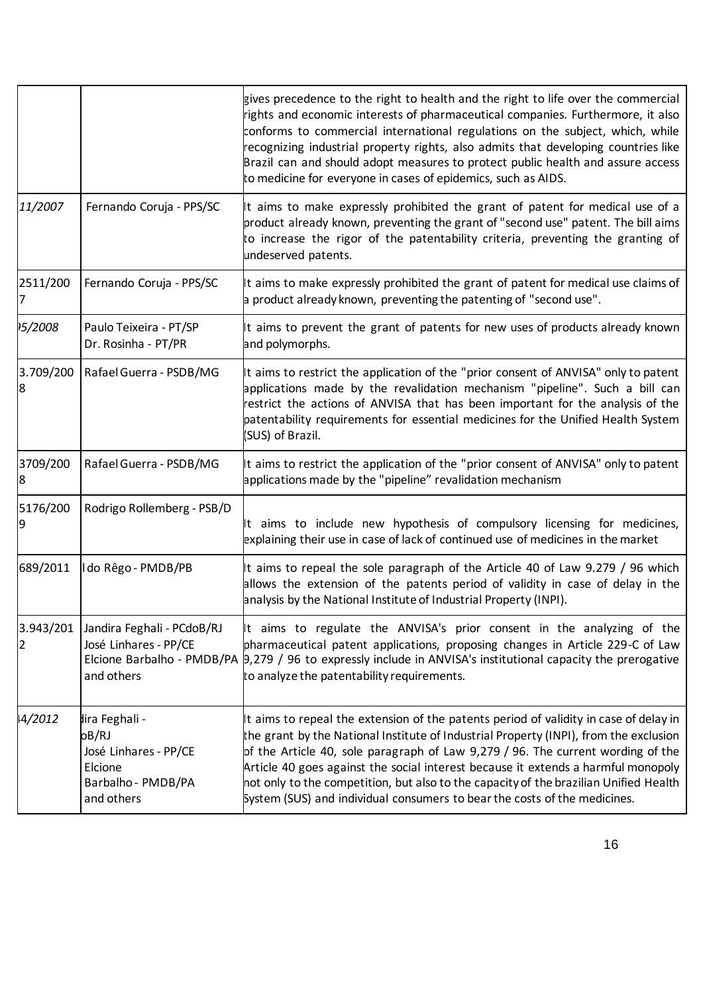|                |                                                                                                 | gives precedence to the right to health and the right to life over the commercial<br>ights and economic interests of pharmaceutical companies. Furthermore, it also<br>conforms to commercial international regulations on the subject, which, while<br>ecognizing industrial property rights, also admits that developing countries like<br>Brazil can and should adopt measures to protect public health and assure access<br>to medicine for everyone in cases of epidemics, such as AIDS.                                |
|----------------|-------------------------------------------------------------------------------------------------|------------------------------------------------------------------------------------------------------------------------------------------------------------------------------------------------------------------------------------------------------------------------------------------------------------------------------------------------------------------------------------------------------------------------------------------------------------------------------------------------------------------------------|
| 11/2007        | Fernando Coruja - PPS/SC                                                                        | t aims to make expressly prohibited the grant of patent for medical use of a<br>product already known, preventing the grant of "second use" patent. The bill aims<br>to increase the rigor of the patentability criteria, preventing the granting of<br>undeserved patents.                                                                                                                                                                                                                                                  |
| 2511/200       | Fernando Coruja - PPS/SC                                                                        | It aims to make expressly prohibited the grant of patent for medical use claims of<br>a product already known, preventing the patenting of "second use".                                                                                                                                                                                                                                                                                                                                                                     |
| 15/2008        | Paulo Teixeira - PT/SP<br>Dr. Rosinha - PT/PR                                                   | t aims to prevent the grant of patents for new uses of products already known<br>and polymorphs.                                                                                                                                                                                                                                                                                                                                                                                                                             |
| 3.709/200<br>8 | Rafael Guerra - PSDB/MG                                                                         | It aims to restrict the application of the "prior consent of ANVISA" only to patent<br>applications made by the revalidation mechanism "pipeline". Such a bill can<br>estrict the actions of ANVISA that has been important for the analysis of the<br>patentability requirements for essential medicines for the Unified Health System<br>(SUS) of Brazil.                                                                                                                                                                  |
| 3709/200<br>8  | Rafael Guerra - PSDB/MG                                                                         | t aims to restrict the application of the "prior consent of ANVISA" only to patent<br>applications made by the "pipeline" revalidation mechanism                                                                                                                                                                                                                                                                                                                                                                             |
| 5176/200<br>19 | Rodrigo Rollemberg - PSB/D                                                                      | It aims to include new hypothesis of compulsory licensing for medicines,<br>explaining their use in case of lack of continued use of medicines in the market                                                                                                                                                                                                                                                                                                                                                                 |
| 689/2011       | I do Rêgo - PMDB/PB                                                                             | It aims to repeal the sole paragraph of the Article 40 of Law 9.279 / 96 which<br>allows the extension of the patents period of validity in case of delay in the<br>analysis by the National Institute of Industrial Property (INPI).                                                                                                                                                                                                                                                                                        |
| 3.943/201<br>2 | Jandira Feghali - PCdoB/RJ<br>José Linhares - PP/CE<br>and others                               | It aims to regulate the ANVISA's prior consent in the analyzing of the<br>pharmaceutical patent applications, proposing changes in Article 229-C of Law<br>Elcione Barbalho - PMDB/PA 9,279 / 96 to expressly include in ANVISA's institutional capacity the prerogative<br>to analyze the patentability requirements.                                                                                                                                                                                                       |
| 4/2012         | lira Feghali -<br>oB/RJ<br>José Linhares - PP/CE<br>Elcione<br>Barbalho - PMDB/PA<br>and others | It aims to repeal the extension of the patents period of validity in case of delay in<br>the grant by the National Institute of Industrial Property (INPI), from the exclusion<br>of the Article 40, sole paragraph of Law 9,279 / 96. The current wording of the<br>Article 40 goes against the social interest because it extends a harmful monopoly<br>not only to the competition, but also to the capacity of the brazilian Unified Health<br>System (SUS) and individual consumers to bear the costs of the medicines. |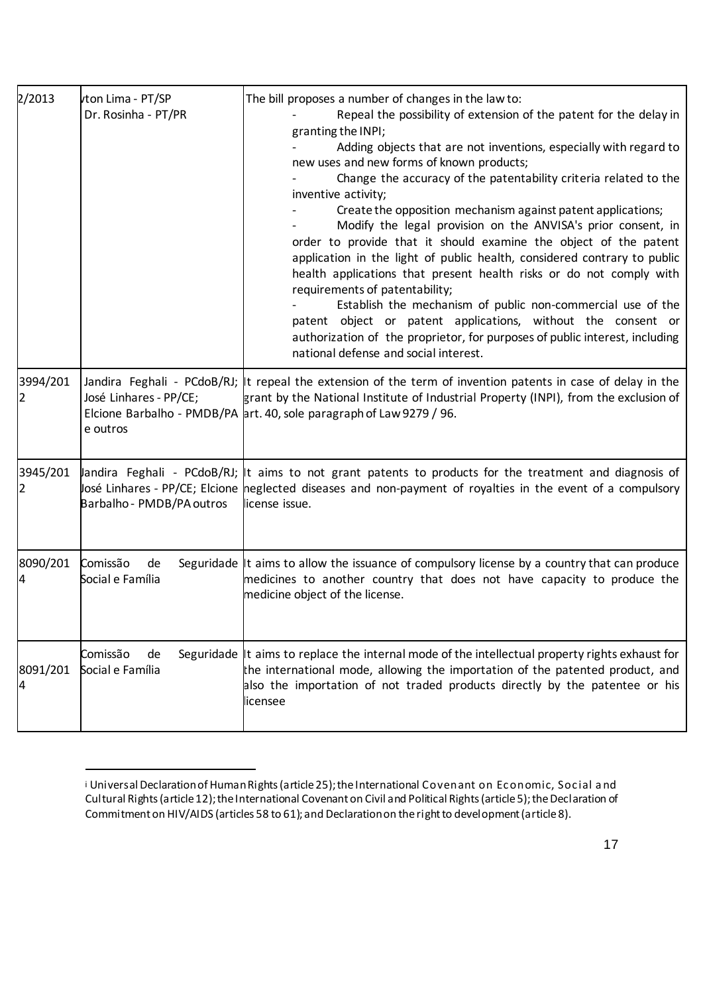| 2/2013        | vton Lima - PT/SP<br>Dr. Rosinha - PT/PR                 | The bill proposes a number of changes in the law to:<br>Repeal the possibility of extension of the patent for the delay in<br>granting the INPI;<br>Adding objects that are not inventions, especially with regard to<br>new uses and new forms of known products;<br>Change the accuracy of the patentability criteria related to the<br>inventive activity;<br>Create the opposition mechanism against patent applications;<br>Modify the legal provision on the ANVISA's prior consent, in<br>order to provide that it should examine the object of the patent<br>application in the light of public health, considered contrary to public<br>health applications that present health risks or do not comply with<br>requirements of patentability;<br>Establish the mechanism of public non-commercial use of the<br>patent object or patent applications, without the consent or<br>authorization of the proprietor, for purposes of public interest, including<br>national defense and social interest. |
|---------------|----------------------------------------------------------|---------------------------------------------------------------------------------------------------------------------------------------------------------------------------------------------------------------------------------------------------------------------------------------------------------------------------------------------------------------------------------------------------------------------------------------------------------------------------------------------------------------------------------------------------------------------------------------------------------------------------------------------------------------------------------------------------------------------------------------------------------------------------------------------------------------------------------------------------------------------------------------------------------------------------------------------------------------------------------------------------------------|
| 3994/201<br>2 | José Linhares - PP/CE;<br>e outros                       | Jandira Feghali - PCdoB/RJ; It repeal the extension of the term of invention patents in case of delay in the<br>grant by the National Institute of Industrial Property (INPI), from the exclusion of<br>Elcione Barbalho - PMDB/PA art. 40, sole paragraph of Law 9279 / 96.                                                                                                                                                                                                                                                                                                                                                                                                                                                                                                                                                                                                                                                                                                                                  |
| 3945/201<br>2 | Jandira Feghali - PCdoB/RJ;<br>Barbalho - PMDB/PA outros | It aims to not grant patents to products for the treatment and diagnosis of<br>losé Linhares - PP/CE; Elcione heglected diseases and non-payment of royalties in the event of a compulsory<br>license issue.                                                                                                                                                                                                                                                                                                                                                                                                                                                                                                                                                                                                                                                                                                                                                                                                  |
| 8090/201<br>4 | Comissão<br>de<br>Social e Família                       | Seguridade It aims to allow the issuance of compulsory license by a country that can produce<br>medicines to another country that does not have capacity to produce the<br>medicine object of the license.                                                                                                                                                                                                                                                                                                                                                                                                                                                                                                                                                                                                                                                                                                                                                                                                    |
| 8091/201<br>4 | Comissão<br>de<br>Social e Família                       | Seguridade It aims to replace the internal mode of the intellectual property rights exhaust for<br>the international mode, allowing the importation of the patented product, and<br>also the importation of not traded products directly by the patentee or his<br>licensee                                                                                                                                                                                                                                                                                                                                                                                                                                                                                                                                                                                                                                                                                                                                   |

i Universal Declaration of Human Rights (article 25); the International Covenant on Economic, Social and Cultural Rights (article 12); the International Covenant on Civil and Political Rights (article 5); the Declaration of Commitment on HIV/AIDS (articles 58 to 61); and Declaration on the right to development (article 8).

 $\overline{a}$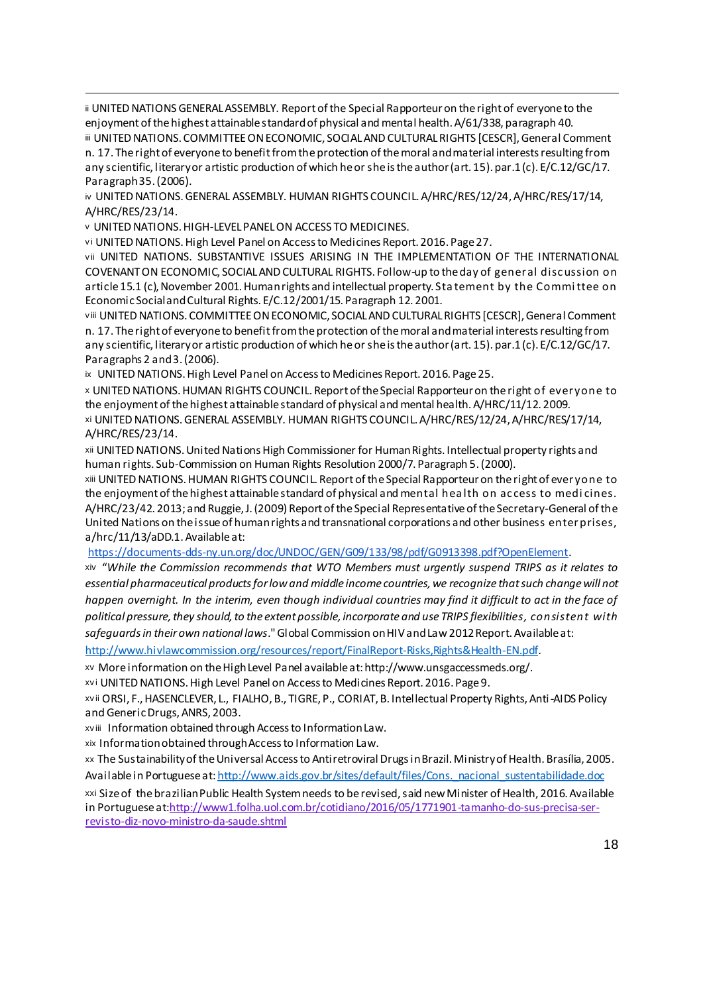ii UNITED NATIONS GENERAL ASSEMBLY. Report of the Special Rapporteur on the right of everyone to the enjoyment of the highest attainable standard of physical and mental health. A/61/338, paragraph 40. iii UNITED NATIONS. COMMITTEE ON ECONOMIC, SOCIAL AND CULTURAL RIGHTS [CESCR], General Comment

n. 17. The right of everyone to benefit from the protection of the moral and material interests resulting from any scientific, literary or artistic production of which he or she is the author (art. 15). par.1 (c). E/C.12/GC/17. Paragraph 35. (2006).

iv UNITED NATIONS. GENERAL ASSEMBLY. HUMAN RIGHTS COUNCIL. A/HRC/RES/12/24, A/HRC/RES/17/14, A/HRC/RES/23/14.

<sup>v</sup> UNITED NATIONS. HIGH-LEVEL PANEL ON ACCESS TO MEDICINES.

 $\overline{a}$ 

vi UNITED NATIONS. High Level Panel on Access to Medicines Report. 2016. Page 27.

vii UNITED NATIONS. SUBSTANTIVE ISSUES ARISING IN THE IMPLEMENTATION OF THE INTERNATIONAL COVENANT ON ECONOMIC, SOCIAL AND CULTURAL RIGHTS. Follow-up to the day of general disc ussion on article 15.1 (c), November 2001. Human rights and intellectual property. Statement by the Committee on Economic Social and Cultural Rights. E/C.12/2001/15. Paragraph 12. 2001.

v iii UNITED NATIONS. COMMITTEE ON ECONOMIC, SOCIAL AND CULTURAL RIGHTS [CESCR], General Comment n. 17. The right of everyone to benefit from the protection of the moral and material interests resulting from any scientific, literary or artistic production of which he or she is the author (art. 15). par.1 (c). E/C.12/GC/17. Paragraphs 2 and 3. (2006).

ix UNITED NATIONS. High Level Panel on Access to Medicines Report. 2016. Page 25.

<sup>x</sup> UNITED NATIONS. HUMAN RIGHTS COUNCIL. Report of the Special Rapporteur on the right of everyone to the enjoyment of the highest attainable standard of physical and mental health. A/HRC/11/12. 2009. xi UNITED NATIONS. GENERAL ASSEMBLY. HUMAN RIGHTS COUNCIL. A/HRC/RES/12/24, A/HRC/RES/17/14, A/HRC/RES/23/14.

xii UNITED NATIONS. United Nations High Commissioner for Human Rights. Intellectual property rights and human rights. Sub-Commission on Human Rights Resolution 2000/7. Paragraph 5. (2000).

xiii UNITED NATIONS. HUMAN RIGHTS COUNCIL. Report of the Special Rapporteur on the right of everyone to the enjoyment of the highest attainable standard of physical and mental hea lth on ac cess to medi cines. A/HRC/23/42. 2013; and Ruggie, J. (2009) Report of the Special Representative of the Secretary-General of the United Nations on the issue of human rights and transnational corporations and other business enterprises, a/hrc/11/13/aDD.1. Available at:

https://documents-dds-ny.un.org/doc/UNDOC/GEN/G09/133/98/pdf/G0913398.pdf?OpenElement.

xiv "*While the Commission recommends that WTO Members must urgently suspend TRIPS as it relates to essential pharmaceutical products for low and middle income countries, we recognize that such change will not happen overnight. In the interim, even though individual countries may find it difficult to act in the face of political pressure, they should, to the extent possible, incorporate and use TRIPS flexibilities, consistent with safeguards in their own national laws*." Global Commission on HIV and Law 2012 Report. Available at:

http://www.hivlawcommission.org/resources/report/FinalReport-Risks,Rights&Health-EN.pdf.

xv More information on the High Level Panel available at: http://www.unsgaccessmeds.org/.

xvi UNITED NATIONS. High Level Panel on Access to Medicines Report. 2016. Page 9.

xv ii ORSI, F., HASENCLEVER, L., FIALHO, B., TIGRE, P., CORIAT, B. Intellectual Property Rights, Anti-AIDS Policy and Generic Drugs, ANRS, 2003.

xv iii Information obtained through Access to Information Law.

xix Information obtained through Access to Information Law.

xx The Sustainability of the Universal Access to Antiretroviral Drugs in Brazil. Ministry of Health. Brasília, 2005. Available in Portuguese at: http://www.aids.gov.br/sites/default/files/Cons.\_nacional\_sustentabilidade.doc

xxi Size of the brazilian Public Health System needs to be revised, said new Minister of Health, 2016. Available in Portuguese at:http://www1.folha.uol.com.br/cotidiano/2016/05/1771901-tamanho-do-sus-precisa-serrevisto-diz-novo-ministro-da-saude.shtml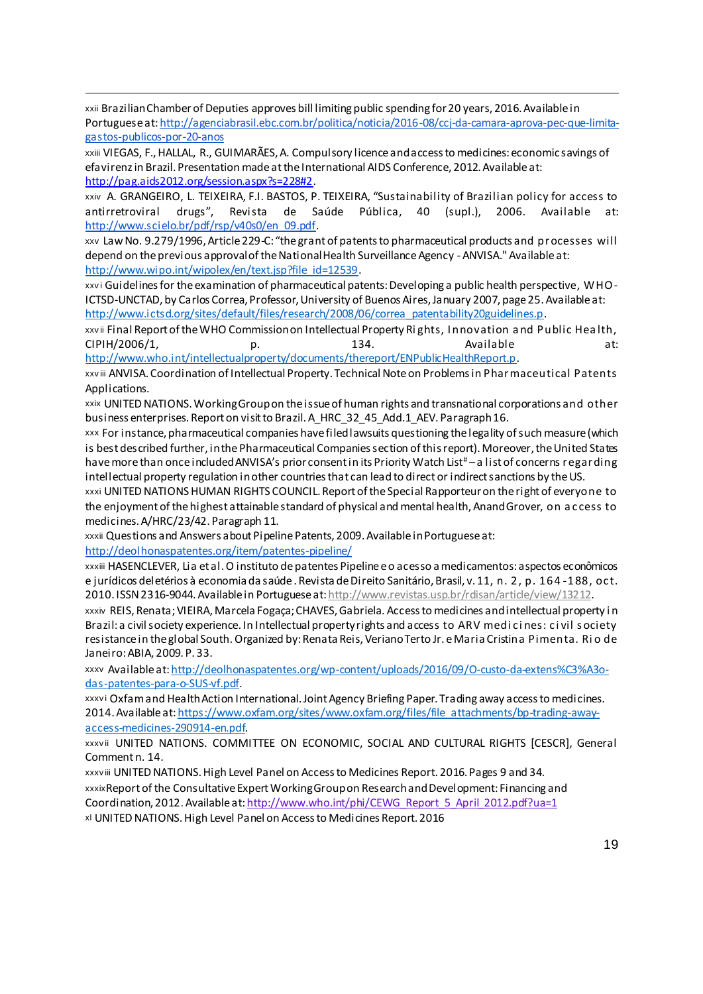xxii Brazilian Chamberof Deputies approves bill limiting public spending for 20 years, 2016. Available in Portuguese at: http://agenciabrasil.ebc.com.br/politica/noticia/2016-08/ccj-da-camara-aprova-pec-que-limitagastos-publicos-por-20-anos

xxiii VIEGAS, F., HALLAL, R., GUIMARÃES, A. Compulsory licence and access to medicines: economic savings of efavirenz in Brazil. Presentation made at the International AIDS Conference, 2012. Available at: http://pag.aids2012.org/session.aspx?s=228#2.

xxiv A. GRANGEIRO, L. TEIXEIRA, F.I. BASTOS, P. TEIXEIRA, "Sustainability of Brazilian policy for access to antirretroviral drugs", Revista de Saúde Pública, 40 (supl.), 2006. Available at: http://www.scielo.br/pdf/rsp/v40s0/en\_09.pdf.

xxv Law No. 9.279/1996, Article 229-C: "the grant of patents to pharmaceutical products and processes will depend on the previous approval of the National Health Surveillance Agency - ANVISA." Available at: http://www.wipo.int/wipolex/en/text.jsp?file\_id=12539.

xxvi Guidelines for the examination of pharmaceutical patents: Developing a public health perspective, WHO-ICTSD-UNCTAD, by Carlos Correa, Professor, University of Buenos Aires, January 2007, page 25. Available at: http://www.ictsd.org/sites/default/files/research/2008/06/correa\_patentability20guidelines.p.

xxvii Final Report of the WHO Commission on Intellectual Property Rights, Innovation and Public Health, CIPIH/2006/1, b., p. 134. Available at: http://www.who.int/intellectualproperty/documents/thereport/ENPublicHealthReport.p.

xxv iii ANVISA. Coordination of Intellectual Property. Technical Note on Problems in Pharmaceutical Patents Applications.

xxix UNITED NATIONS. Working Group on the issue of human rights and transnational corporations and other business enterprises. Report on visit to Brazil. A\_HRC\_32\_45\_Add.1\_AEV. Paragraph 16.

xxx For instance, pharmaceutical companies have filed lawsuits questioning the legality of such measure (which is best described further, in the Pharmaceutical Companies section of this report). Moreover, the United States have more than once included ANVISA's prior consent in its Priority Watch List<sup>#</sup> – a list of concerns regarding intellectual property regulation in other countries that can lead to direct or indirect sanctions by the US.

xxxi UNITED NATIONS HUMAN RIGHTS COUNCIL. Report of the Special Rapporteur on the right of everyone to the enjoyment of the highest attainable standard of physical and mental health, Anand Grover, on a c cess to medicines. A/HRC/23/42. Paragraph 11.

xxxii Questions and Answers about Pipeline Patents, 2009. Available in Portuguese at:

http://deolhonaspatentes.org/item/patentes-pipeline/

 $\overline{a}$ 

xxxiii HASENCLEVER, Lia et al. O instituto de patentes Pipeline e o acesso a medicamentos: aspectos econômicos e jurídicos deletérios à economia da saúde . Revista de Direito Sanitário, Brasil, v. 11, n. 2, p. 164 -188, oc t. 2010. ISSN 2316-9044. Available in Portuguese at: http://www.revistas.usp.br/rdisan/article/view/13212.

xxxiv REIS, Renata; VIEIRA, Marcela Fogaça; CHAVES, Gabriela. Access to medicines and intellectual property i n Brazil: a civil society experience. In Intellectual property rights and access to ARV medi c i nes: c i vil s ociety resistance in the global South. Organized by: Renata Reis, Veriano Terto Jr. e Maria Cristina Pimenta. Rio de Janeiro: ABIA, 2009. P. 33.

xxxv Available at: http://deolhonaspatentes.org/wp-content/uploads/2016/09/O-custo-da-extens%C3%A3odas-patentes-para-o-SUS-vf.pdf.

xxxv i Oxfam and Health Action International. Joint Agency Briefing Paper. Trading away access to medicines. 2014. Available at: https://www.oxfam.org/sites/www.oxfam.org/files/file\_attachments/bp-trading-awayaccess-medicines-290914-en.pdf.

xxxv ii UNITED NATIONS. COMMITTEE ON ECONOMIC, SOCIAL AND CULTURAL RIGHTS [CESCR], General Comment n. 14.

xxxv iii UNITED NATIONS. High Level Panel on Access to Medicines Report. 2016. Pages 9 and 34. xxxixReport of the Consultative Expert Working Group on Research and Development: Financing and Coordination, 2012. Available at: http://www.who.int/phi/CEWG\_Report\_5\_April\_2012.pdf?ua=1 xl UNITED NATIONS. High Level Panel on Access to Medicines Report. 2016